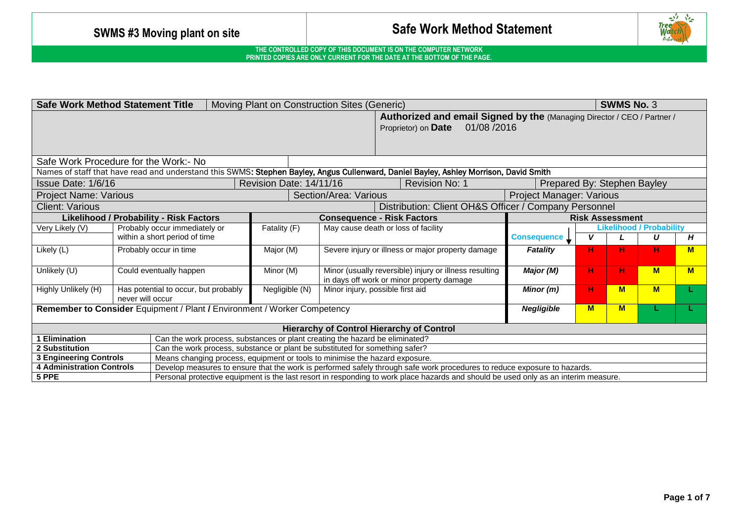

| <b>Safe Work Method Statement Title</b><br>Moving Plant on Construction Sites (Generic)        |                               |                                                                             |                                                                                                                                     |                                                                                                               |                                                                                                                                       |                             |    | <b>SWMS No. 3</b>      |                                 |          |  |
|------------------------------------------------------------------------------------------------|-------------------------------|-----------------------------------------------------------------------------|-------------------------------------------------------------------------------------------------------------------------------------|---------------------------------------------------------------------------------------------------------------|---------------------------------------------------------------------------------------------------------------------------------------|-----------------------------|----|------------------------|---------------------------------|----------|--|
|                                                                                                |                               |                                                                             |                                                                                                                                     | Authorized and email Signed by the (Managing Director / CEO / Partner /<br>01/08 /2016<br>Proprietor) on Date |                                                                                                                                       |                             |    |                        |                                 |          |  |
| Safe Work Procedure for the Work:- No                                                          |                               |                                                                             |                                                                                                                                     |                                                                                                               |                                                                                                                                       |                             |    |                        |                                 |          |  |
|                                                                                                |                               |                                                                             |                                                                                                                                     |                                                                                                               | Names of staff that have read and understand this SWMS: Stephen Bayley, Angus Cullenward, Daniel Bayley, Ashley Morrison, David Smith |                             |    |                        |                                 |          |  |
| Issue Date: 1/6/16                                                                             |                               |                                                                             | Revision Date: 14/11/16                                                                                                             |                                                                                                               | <b>Revision No: 1</b>                                                                                                                 | Prepared By: Stephen Bayley |    |                        |                                 |          |  |
| <b>Project Name: Various</b>                                                                   |                               |                                                                             |                                                                                                                                     | Section/Area: Various                                                                                         |                                                                                                                                       | Project Manager: Various    |    |                        |                                 |          |  |
| <b>Client: Various</b>                                                                         |                               |                                                                             | Distribution: Client OH&S Officer / Company Personnel                                                                               |                                                                                                               |                                                                                                                                       |                             |    |                        |                                 |          |  |
| <b>Likelihood / Probability - Risk Factors</b>                                                 |                               |                                                                             |                                                                                                                                     |                                                                                                               | <b>Consequence - Risk Factors</b>                                                                                                     |                             |    | <b>Risk Assessment</b> |                                 |          |  |
| Very Likely (V)                                                                                |                               | Probably occur immediately or                                               | Fatality (F)                                                                                                                        |                                                                                                               | May cause death or loss of facility                                                                                                   |                             |    |                        | <b>Likelihood / Probability</b> |          |  |
|                                                                                                | within a short period of time |                                                                             |                                                                                                                                     |                                                                                                               |                                                                                                                                       | <b>Consequence</b>          | v  |                        | U                               | Н        |  |
| Likely (L)                                                                                     |                               | Probably occur in time<br>Major (M)                                         |                                                                                                                                     | Severe injury or illness or major property damage                                                             |                                                                                                                                       | Fatality                    | н  | н                      | н                               | M        |  |
| Unlikely (U)                                                                                   |                               | Minor (M)<br>Could eventually happen                                        |                                                                                                                                     |                                                                                                               | Minor (usually reversible) injury or illness resulting<br>in days off work or minor property damage                                   |                             | н  | н                      | <b>M</b>                        | <b>M</b> |  |
| Highly Unlikely (H)                                                                            |                               | Negligible (N)<br>Has potential to occur, but probably<br>never will occur  |                                                                                                                                     |                                                                                                               | Minor injury, possible first aid                                                                                                      | Minor (m)                   | н. | $M$                    | <b>M</b>                        |          |  |
| Remember to Consider Equipment / Plant / Environment / Worker Competency                       |                               |                                                                             |                                                                                                                                     |                                                                                                               |                                                                                                                                       | <b>Negligible</b>           | M  | M                      |                                 |          |  |
| <b>Hierarchy of Control Hierarchy of Control</b>                                               |                               |                                                                             |                                                                                                                                     |                                                                                                               |                                                                                                                                       |                             |    |                        |                                 |          |  |
| <b>Elimination</b>                                                                             |                               |                                                                             |                                                                                                                                     | Can the work process, substances or plant creating the hazard be eliminated?                                  |                                                                                                                                       |                             |    |                        |                                 |          |  |
| 2 Substitution<br>Can the work process, substance or plant be substituted for something safer? |                               |                                                                             |                                                                                                                                     |                                                                                                               |                                                                                                                                       |                             |    |                        |                                 |          |  |
| <b>3 Engineering Controls</b>                                                                  |                               | Means changing process, equipment or tools to minimise the hazard exposure. |                                                                                                                                     |                                                                                                               |                                                                                                                                       |                             |    |                        |                                 |          |  |
| <b>4 Administration Controls</b>                                                               |                               |                                                                             |                                                                                                                                     |                                                                                                               | Develop measures to ensure that the work is performed safely through safe work procedures to reduce exposure to hazards.              |                             |    |                        |                                 |          |  |
| 5 PPE                                                                                          |                               |                                                                             | Personal protective equipment is the last resort in responding to work place hazards and should be used only as an interim measure. |                                                                                                               |                                                                                                                                       |                             |    |                        |                                 |          |  |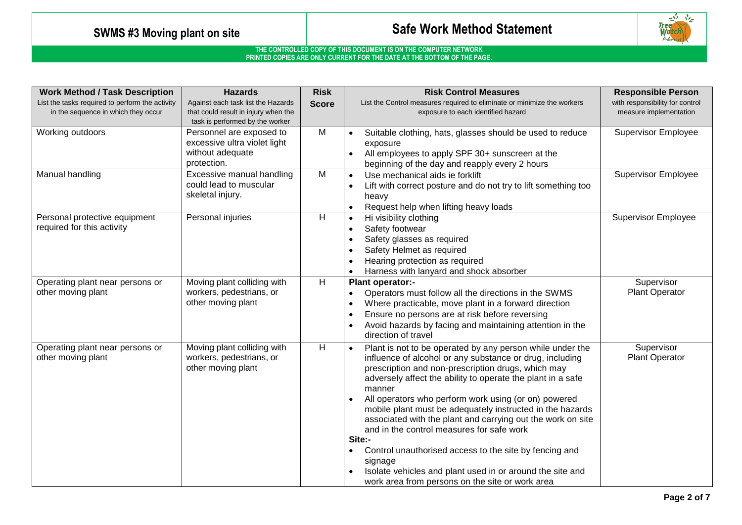

| <b>Work Method / Task Description</b>                                                  | <b>Hazards</b>                                                                                                | <b>Risk</b>  | <b>Risk Control Measures</b>                                                                                                                                                                                                                                                                                                                                                                                                                                                                                                                                                                                                                                                         | <b>Responsible Person</b>                                 |
|----------------------------------------------------------------------------------------|---------------------------------------------------------------------------------------------------------------|--------------|--------------------------------------------------------------------------------------------------------------------------------------------------------------------------------------------------------------------------------------------------------------------------------------------------------------------------------------------------------------------------------------------------------------------------------------------------------------------------------------------------------------------------------------------------------------------------------------------------------------------------------------------------------------------------------------|-----------------------------------------------------------|
| List the tasks required to perform the activity<br>in the sequence in which they occur | Against each task list the Hazards<br>that could result in injury when the<br>task is performed by the worker | <b>Score</b> | List the Control measures required to eliminate or minimize the workers<br>exposure to each identified hazard                                                                                                                                                                                                                                                                                                                                                                                                                                                                                                                                                                        | with responsibility for control<br>measure implementation |
| Working outdoors                                                                       | Personnel are exposed to<br>excessive ultra violet light<br>without adequate<br>protection.                   | M            | Suitable clothing, hats, glasses should be used to reduce<br>exposure<br>All employees to apply SPF 30+ sunscreen at the<br>beginning of the day and reapply every 2 hours                                                                                                                                                                                                                                                                                                                                                                                                                                                                                                           | <b>Supervisor Employee</b>                                |
| Manual handling                                                                        | Excessive manual handling<br>could lead to muscular<br>skeletal injury.                                       | M            | Use mechanical aids ie forklift<br>$\bullet$<br>Lift with correct posture and do not try to lift something too<br>heavy<br>Request help when lifting heavy loads                                                                                                                                                                                                                                                                                                                                                                                                                                                                                                                     | <b>Supervisor Employee</b>                                |
| Personal protective equipment<br>required for this activity                            | Personal injuries                                                                                             | H            | Hi visibility clothing<br>$\bullet$<br>Safety footwear<br>Safety glasses as required<br>Safety Helmet as required<br>Hearing protection as required<br>Harness with lanyard and shock absorber                                                                                                                                                                                                                                                                                                                                                                                                                                                                                       | <b>Supervisor Employee</b>                                |
| Operating plant near persons or<br>other moving plant                                  | Moving plant colliding with<br>workers, pedestrians, or<br>other moving plant                                 | H            | Plant operator:-<br>Operators must follow all the directions in the SWMS<br>٠<br>Where practicable, move plant in a forward direction<br>Ensure no persons are at risk before reversing<br>Avoid hazards by facing and maintaining attention in the<br>direction of travel                                                                                                                                                                                                                                                                                                                                                                                                           | Supervisor<br><b>Plant Operator</b>                       |
| Operating plant near persons or<br>other moving plant                                  | Moving plant colliding with<br>workers, pedestrians, or<br>other moving plant                                 | H            | Plant is not to be operated by any person while under the<br>influence of alcohol or any substance or drug, including<br>prescription and non-prescription drugs, which may<br>adversely affect the ability to operate the plant in a safe<br>manner<br>All operators who perform work using (or on) powered<br>mobile plant must be adequately instructed in the hazards<br>associated with the plant and carrying out the work on site<br>and in the control measures for safe work<br>Site:-<br>Control unauthorised access to the site by fencing and<br>signage<br>Isolate vehicles and plant used in or around the site and<br>work area from persons on the site or work area | Supervisor<br><b>Plant Operator</b>                       |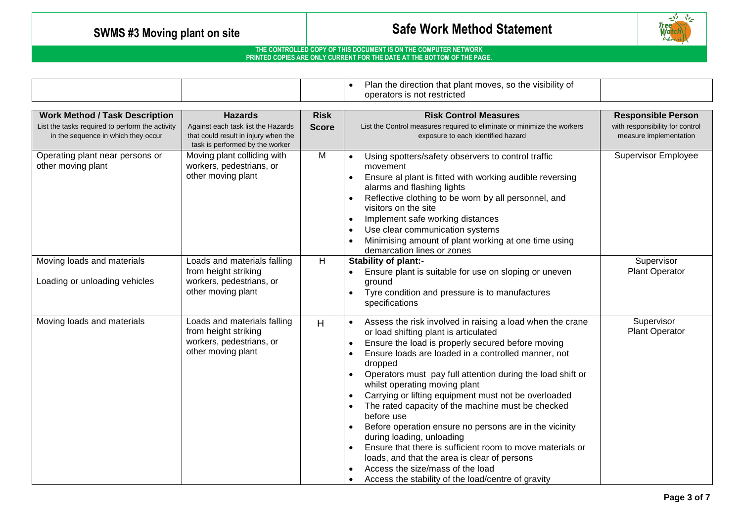

|                                                                                                                                 |                                                                                                                                 |                             | Plan the direction that plant moves, so the visibility of<br>operators is not restricted                                                                                                                                                                                                                                                                                                                                                                                                                                                                                                                                                                                                                                                                       |                                                                                        |
|---------------------------------------------------------------------------------------------------------------------------------|---------------------------------------------------------------------------------------------------------------------------------|-----------------------------|----------------------------------------------------------------------------------------------------------------------------------------------------------------------------------------------------------------------------------------------------------------------------------------------------------------------------------------------------------------------------------------------------------------------------------------------------------------------------------------------------------------------------------------------------------------------------------------------------------------------------------------------------------------------------------------------------------------------------------------------------------------|----------------------------------------------------------------------------------------|
| <b>Work Method / Task Description</b><br>List the tasks required to perform the activity<br>in the sequence in which they occur | <b>Hazards</b><br>Against each task list the Hazards<br>that could result in injury when the<br>task is performed by the worker | <b>Risk</b><br><b>Score</b> | <b>Risk Control Measures</b><br>List the Control measures required to eliminate or minimize the workers<br>exposure to each identified hazard                                                                                                                                                                                                                                                                                                                                                                                                                                                                                                                                                                                                                  | <b>Responsible Person</b><br>with responsibility for control<br>measure implementation |
| Operating plant near persons or<br>other moving plant                                                                           | Moving plant colliding with<br>workers, pedestrians, or<br>other moving plant                                                   | M                           | Using spotters/safety observers to control traffic<br>movement<br>Ensure al plant is fitted with working audible reversing<br>alarms and flashing lights<br>Reflective clothing to be worn by all personnel, and<br>visitors on the site<br>Implement safe working distances<br>Use clear communication systems<br>Minimising amount of plant working at one time using<br>demarcation lines or zones                                                                                                                                                                                                                                                                                                                                                          | <b>Supervisor Employee</b>                                                             |
| Moving loads and materials<br>Loading or unloading vehicles                                                                     | Loads and materials falling<br>from height striking<br>workers, pedestrians, or<br>other moving plant                           | $\overline{H}$              | Stability of plant:-<br>Ensure plant is suitable for use on sloping or uneven<br>ground<br>Tyre condition and pressure is to manufactures<br>$\bullet$<br>specifications                                                                                                                                                                                                                                                                                                                                                                                                                                                                                                                                                                                       | Supervisor<br><b>Plant Operator</b>                                                    |
| Moving loads and materials                                                                                                      | Loads and materials falling<br>from height striking<br>workers, pedestrians, or<br>other moving plant                           | H                           | Assess the risk involved in raising a load when the crane<br>or load shifting plant is articulated<br>Ensure the load is properly secured before moving<br>Ensure loads are loaded in a controlled manner, not<br>dropped<br>Operators must pay full attention during the load shift or<br>whilst operating moving plant<br>Carrying or lifting equipment must not be overloaded<br>$\bullet$<br>The rated capacity of the machine must be checked<br>before use<br>Before operation ensure no persons are in the vicinity<br>during loading, unloading<br>Ensure that there is sufficient room to move materials or<br>loads, and that the area is clear of persons<br>Access the size/mass of the load<br>Access the stability of the load/centre of gravity | Supervisor<br><b>Plant Operator</b>                                                    |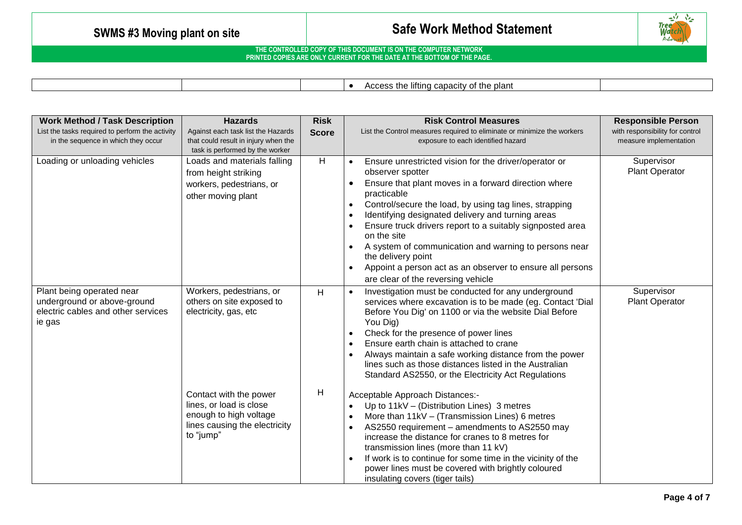

| * the plant<br>lifting capacity<br>$\ddot{\phantom{1}}$<br>$\sim$<br>. |
|------------------------------------------------------------------------|
|------------------------------------------------------------------------|

| <b>Work Method / Task Description</b>                                                                    | <b>Hazards</b>                                                                                                            | <b>Risk</b>  | <b>Risk Control Measures</b>                                                                                                                                                                                                                                                                                                                                                                                                                                                                                                               | <b>Responsible Person</b>                                 |
|----------------------------------------------------------------------------------------------------------|---------------------------------------------------------------------------------------------------------------------------|--------------|--------------------------------------------------------------------------------------------------------------------------------------------------------------------------------------------------------------------------------------------------------------------------------------------------------------------------------------------------------------------------------------------------------------------------------------------------------------------------------------------------------------------------------------------|-----------------------------------------------------------|
| List the tasks required to perform the activity<br>in the sequence in which they occur                   | Against each task list the Hazards<br>that could result in injury when the                                                | <b>Score</b> | List the Control measures required to eliminate or minimize the workers<br>exposure to each identified hazard                                                                                                                                                                                                                                                                                                                                                                                                                              | with responsibility for control<br>measure implementation |
|                                                                                                          | task is performed by the worker                                                                                           |              |                                                                                                                                                                                                                                                                                                                                                                                                                                                                                                                                            |                                                           |
| Loading or unloading vehicles                                                                            | Loads and materials falling<br>from height striking<br>workers, pedestrians, or<br>other moving plant                     | H            | Ensure unrestricted vision for the driver/operator or<br>observer spotter<br>Ensure that plant moves in a forward direction where<br>practicable<br>Control/secure the load, by using tag lines, strapping<br>$\bullet$<br>Identifying designated delivery and turning areas<br>Ensure truck drivers report to a suitably signposted area<br>on the site<br>A system of communication and warning to persons near<br>the delivery point<br>Appoint a person act as an observer to ensure all persons<br>are clear of the reversing vehicle | Supervisor<br><b>Plant Operator</b>                       |
| Plant being operated near<br>underground or above-ground<br>electric cables and other services<br>ie gas | Workers, pedestrians, or<br>others on site exposed to<br>electricity, gas, etc                                            | H            | Investigation must be conducted for any underground<br>services where excavation is to be made (eg. Contact 'Dial<br>Before You Dig' on 1100 or via the website Dial Before<br>You Dig)<br>Check for the presence of power lines<br>Ensure earth chain is attached to crane<br>Always maintain a safe working distance from the power<br>lines such as those distances listed in the Australian<br>Standard AS2550, or the Electricity Act Regulations                                                                                     | Supervisor<br>Plant Operator                              |
|                                                                                                          | Contact with the power<br>lines, or load is close<br>enough to high voltage<br>lines causing the electricity<br>to "jump" | H            | Acceptable Approach Distances:-<br>Up to 11kV - (Distribution Lines) 3 metres<br>More than $11kV - (Transmission Lines)$ 6 metres<br>AS2550 requirement - amendments to AS2550 may<br>increase the distance for cranes to 8 metres for<br>transmission lines (more than 11 kV)<br>If work is to continue for some time in the vicinity of the<br>power lines must be covered with brightly coloured<br>insulating covers (tiger tails)                                                                                                     |                                                           |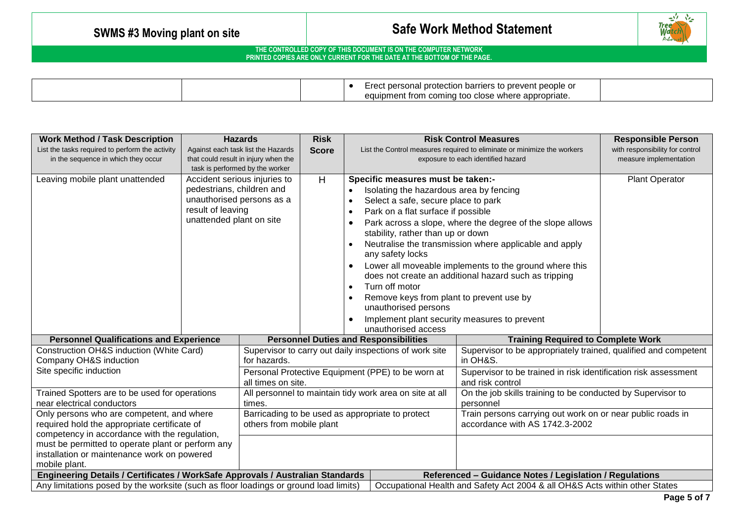

|  | il protection barriers to prevent people or<br>. personal               |  |
|--|-------------------------------------------------------------------------|--|
|  | n coming too close where appropriate.<br>$\sim$<br>ipment from (<br>cuu |  |

| <b>Work Method / Task Description</b>                                                |                                 | <b>Hazards</b>                                    | <b>Risk</b>                                                                                                            |                                                           |                                                        | <b>Risk Control Measures</b>                                                | <b>Responsible Person</b>       |  |
|--------------------------------------------------------------------------------------|---------------------------------|---------------------------------------------------|------------------------------------------------------------------------------------------------------------------------|-----------------------------------------------------------|--------------------------------------------------------|-----------------------------------------------------------------------------|---------------------------------|--|
| List the tasks required to perform the activity                                      |                                 | Against each task list the Hazards                | <b>Score</b>                                                                                                           |                                                           |                                                        | List the Control measures required to eliminate or minimize the workers     | with responsibility for control |  |
| in the sequence in which they occur                                                  |                                 | that could result in injury when the              |                                                                                                                        | exposure to each identified hazard                        |                                                        |                                                                             | measure implementation          |  |
|                                                                                      | task is performed by the worker |                                                   |                                                                                                                        |                                                           |                                                        |                                                                             |                                 |  |
| Leaving mobile plant unattended                                                      |                                 | Accident serious injuries to                      | H                                                                                                                      |                                                           | Specific measures must be taken:-                      |                                                                             | Plant Operator                  |  |
|                                                                                      | pedestrians, children and       |                                                   |                                                                                                                        |                                                           | Isolating the hazardous area by fencing                |                                                                             |                                 |  |
|                                                                                      | result of leaving               | unauthorised persons as a                         |                                                                                                                        |                                                           | Select a safe, secure place to park                    |                                                                             |                                 |  |
|                                                                                      | unattended plant on site        |                                                   |                                                                                                                        |                                                           | Park on a flat surface if possible                     |                                                                             |                                 |  |
|                                                                                      |                                 |                                                   |                                                                                                                        | Park across a slope, where the degree of the slope allows |                                                        |                                                                             |                                 |  |
|                                                                                      |                                 |                                                   |                                                                                                                        |                                                           | stability, rather than up or down                      |                                                                             |                                 |  |
|                                                                                      |                                 |                                                   |                                                                                                                        |                                                           | any safety locks                                       | Neutralise the transmission where applicable and apply                      |                                 |  |
|                                                                                      |                                 |                                                   |                                                                                                                        |                                                           |                                                        | Lower all moveable implements to the ground where this                      |                                 |  |
|                                                                                      |                                 |                                                   |                                                                                                                        |                                                           |                                                        | does not create an additional hazard such as tripping                       |                                 |  |
|                                                                                      |                                 |                                                   |                                                                                                                        |                                                           | Turn off motor                                         |                                                                             |                                 |  |
|                                                                                      |                                 |                                                   |                                                                                                                        |                                                           | Remove keys from plant to prevent use by               |                                                                             |                                 |  |
|                                                                                      |                                 |                                                   |                                                                                                                        |                                                           | unauthorised persons                                   |                                                                             |                                 |  |
|                                                                                      |                                 |                                                   |                                                                                                                        |                                                           | Implement plant security measures to prevent           |                                                                             |                                 |  |
|                                                                                      |                                 |                                                   |                                                                                                                        |                                                           | unauthorised access                                    |                                                                             |                                 |  |
| <b>Personnel Qualifications and Experience</b>                                       |                                 |                                                   |                                                                                                                        |                                                           | <b>Personnel Duties and Responsibilities</b>           | <b>Training Required to Complete Work</b>                                   |                                 |  |
| Construction OH&S induction (White Card)                                             |                                 |                                                   |                                                                                                                        |                                                           | Supervisor to carry out daily inspections of work site | Supervisor to be appropriately trained, qualified and competent             |                                 |  |
| Company OH&S induction                                                               |                                 | for hazards.                                      |                                                                                                                        |                                                           |                                                        | in OH&S.                                                                    |                                 |  |
| Site specific induction                                                              |                                 | Personal Protective Equipment (PPE) to be worn at |                                                                                                                        |                                                           |                                                        | Supervisor to be trained in risk identification risk assessment             |                                 |  |
|                                                                                      | all times on site.              |                                                   |                                                                                                                        |                                                           | and risk control                                       |                                                                             |                                 |  |
| Trained Spotters are to be used for operations                                       |                                 |                                                   | On the job skills training to be conducted by Supervisor to<br>All personnel to maintain tidy work area on site at all |                                                           |                                                        |                                                                             |                                 |  |
| near electrical conductors<br>times.                                                 |                                 |                                                   | personnel                                                                                                              |                                                           |                                                        |                                                                             |                                 |  |
| Only persons who are competent, and where                                            |                                 |                                                   | Barricading to be used as appropriate to protect                                                                       |                                                           |                                                        | Train persons carrying out work on or near public roads in                  |                                 |  |
| required hold the appropriate certificate of<br>others from mobile plant             |                                 |                                                   |                                                                                                                        |                                                           |                                                        | accordance with AS 1742.3-2002                                              |                                 |  |
| competency in accordance with the regulation,                                        |                                 |                                                   |                                                                                                                        |                                                           |                                                        |                                                                             |                                 |  |
| must be permitted to operate plant or perform any                                    |                                 |                                                   |                                                                                                                        |                                                           |                                                        |                                                                             |                                 |  |
| installation or maintenance work on powered<br>mobile plant.                         |                                 |                                                   |                                                                                                                        |                                                           |                                                        |                                                                             |                                 |  |
| Engineering Details / Certificates / WorkSafe Approvals / Australian Standards       |                                 |                                                   |                                                                                                                        |                                                           |                                                        | Referenced - Guidance Notes / Legislation / Regulations                     |                                 |  |
| Any limitations posed by the worksite (such as floor loadings or ground load limits) |                                 |                                                   |                                                                                                                        |                                                           |                                                        | Occupational Health and Safety Act 2004 & all OH&S Acts within other States |                                 |  |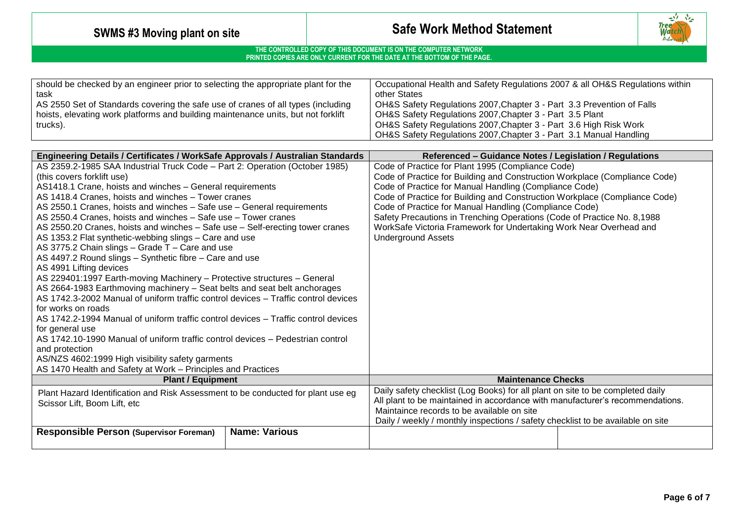

| should be checked by an engineer prior to selecting the appropriate plant for the | Occupational Health and Safety Regulations 2007 & all OH&S Regulations within |
|-----------------------------------------------------------------------------------|-------------------------------------------------------------------------------|
| task                                                                              | other States                                                                  |
| AS 2550 Set of Standards covering the safe use of cranes of all types (including  | OH&S Safety Regulations 2007, Chapter 3 - Part 3.3 Prevention of Falls        |
| hoists, elevating work platforms and building maintenance units, but not forklift | OH&S Safety Regulations 2007, Chapter 3 - Part 3.5 Plant                      |
| trucks).                                                                          | OH&S Safety Regulations 2007, Chapter 3 - Part 3.6 High Risk Work             |
|                                                                                   | OH&S Safety Regulations 2007, Chapter 3 - Part 3.1 Manual Handling            |

| Engineering Details / Certificates / WorkSafe Approvals / Australian Standards                                   | Referenced - Guidance Notes / Legislation / Regulations                         |  |  |
|------------------------------------------------------------------------------------------------------------------|---------------------------------------------------------------------------------|--|--|
| AS 2359.2-1985 SAA Industrial Truck Code - Part 2: Operation (October 1985)                                      | Code of Practice for Plant 1995 (Compliance Code)                               |  |  |
| (this covers forklift use)                                                                                       | Code of Practice for Building and Construction Workplace (Compliance Code)      |  |  |
| AS1418.1 Crane, hoists and winches - General requirements                                                        | Code of Practice for Manual Handling (Compliance Code)                          |  |  |
| AS 1418.4 Cranes, hoists and winches - Tower cranes                                                              | Code of Practice for Building and Construction Workplace (Compliance Code)      |  |  |
| AS 2550.1 Cranes, hoists and winches - Safe use - General requirements                                           | Code of Practice for Manual Handling (Compliance Code)                          |  |  |
| AS 2550.4 Cranes, hoists and winches - Safe use - Tower cranes                                                   | Safety Precautions in Trenching Operations (Code of Practice No. 8,1988         |  |  |
| AS 2550.20 Cranes, hoists and winches - Safe use - Self-erecting tower cranes                                    | WorkSafe Victoria Framework for Undertaking Work Near Overhead and              |  |  |
| AS 1353.2 Flat synthetic-webbing slings - Care and use                                                           | <b>Underground Assets</b>                                                       |  |  |
| AS 3775.2 Chain slings - Grade T - Care and use                                                                  |                                                                                 |  |  |
| AS 4497.2 Round slings - Synthetic fibre - Care and use                                                          |                                                                                 |  |  |
| AS 4991 Lifting devices                                                                                          |                                                                                 |  |  |
| AS 229401:1997 Earth-moving Machinery - Protective structures - General                                          |                                                                                 |  |  |
| AS 2664-1983 Earthmoving machinery - Seat belts and seat belt anchorages                                         |                                                                                 |  |  |
| AS 1742.3-2002 Manual of uniform traffic control devices – Traffic control devices                               |                                                                                 |  |  |
| for works on roads                                                                                               |                                                                                 |  |  |
| AS 1742.2-1994 Manual of uniform traffic control devices - Traffic control devices                               |                                                                                 |  |  |
| for general use                                                                                                  |                                                                                 |  |  |
| AS 1742.10-1990 Manual of uniform traffic control devices – Pedestrian control                                   |                                                                                 |  |  |
| and protection                                                                                                   |                                                                                 |  |  |
| AS/NZS 4602:1999 High visibility safety garments<br>AS 1470 Health and Safety at Work - Principles and Practices |                                                                                 |  |  |
| <b>Plant / Equipment</b>                                                                                         | <b>Maintenance Checks</b>                                                       |  |  |
|                                                                                                                  | Daily safety checklist (Log Books) for all plant on site to be completed daily  |  |  |
| Plant Hazard Identification and Risk Assessment to be conducted for plant use eg                                 | All plant to be maintained in accordance with manufacturer's recommendations.   |  |  |
| Scissor Lift, Boom Lift, etc.                                                                                    | Maintaince records to be available on site                                      |  |  |
|                                                                                                                  | Daily / weekly / monthly inspections / safety checklist to be available on site |  |  |
| <b>Name: Various</b><br><b>Responsible Person (Supervisor Foreman)</b>                                           |                                                                                 |  |  |
|                                                                                                                  |                                                                                 |  |  |
|                                                                                                                  |                                                                                 |  |  |